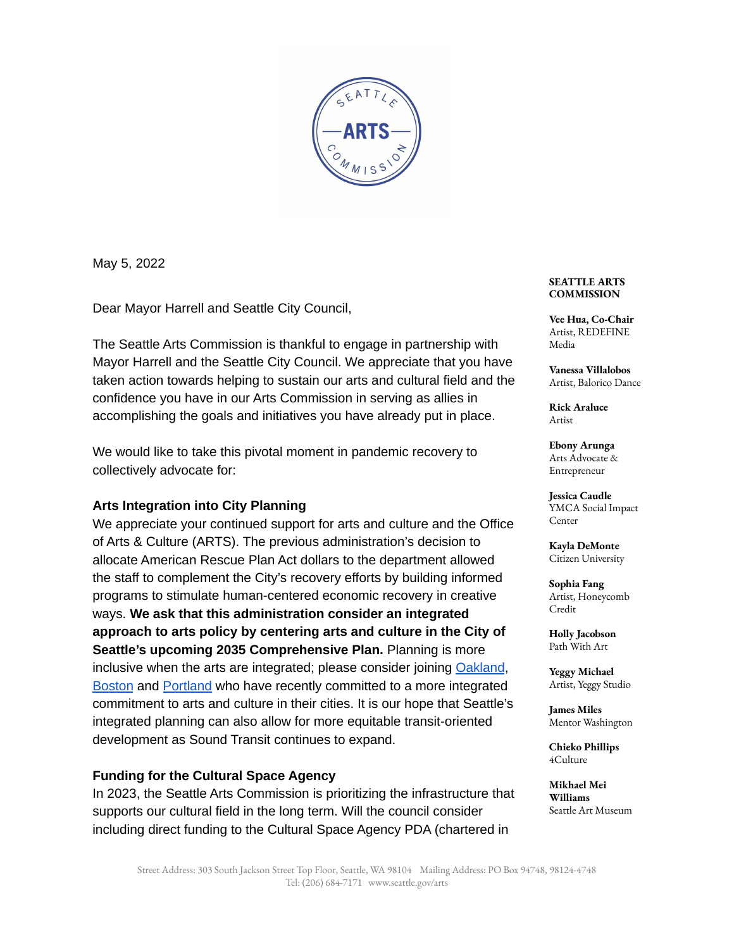

May 5, 2022

Dear Mayor Harrell and Seattle City Council,

The Seattle Arts Commission is thankful to engage in partnership with Mayor Harrell and the Seattle City Council. We appreciate that you have taken action towards helping to sustain our arts and cultural field and the confidence you have in our Arts Commission in serving as allies in accomplishing the goals and initiatives you have already put in place.

We would like to take this pivotal moment in pandemic recovery to collectively advocate for:

### **Arts Integration into City Planning**

We appreciate your continued support for arts and culture and the Office of Arts & Culture (ARTS). The previous administration's decision to allocate American Rescue Plan Act dollars to the department allowed the staff to complement the City's recovery efforts by building informed programs to stimulate human-centered economic recovery in creative ways. **We ask that this administration consider an integrated approach to arts policy by centering arts and culture in the City of Seattle's upcoming 2035 Comprehensive Plan.** Planning is more inclusive when the arts are integrated; please consider joining [Oakland](https://gcc02.safelinks.protection.outlook.com/?url=https%3A%2F%2Fwww.oaklandca.gov%2Fresources%2Fcultural-plan&data=05%7C01%7CChieko.Phillips%40kingcounty.gov%7Cda7ef02b606b401e77ff08da22fed6ed%7Cbae5059a76f049d7999672dfe95d69c7%7C0%7C0%7C637860775175114501%7CUnknown%7CTWFpbGZsb3d8eyJWIjoiMC4wLjAwMDAiLCJQIjoiV2luMzIiLCJBTiI6Ik1haWwiLCJXVCI6Mn0%3D%7C3000%7C%7C%7C&sdata=6diZbGKXKje3x%2BUURLGlqzXBchdfgFKP1XCiE93cmiU%3D&reserved=0)[,](https://gcc02.safelinks.protection.outlook.com/?url=https%3A%2F%2Fwww.boston.gov%2Fdepartments%2Farts-and-culture%2Fboston-creates-cultural-plan&data=05%7C01%7CChieko.Phillips%40kingcounty.gov%7Cda7ef02b606b401e77ff08da22fed6ed%7Cbae5059a76f049d7999672dfe95d69c7%7C0%7C0%7C637860775175114501%7CUnknown%7CTWFpbGZsb3d8eyJWIjoiMC4wLjAwMDAiLCJQIjoiV2luMzIiLCJBTiI6Ik1haWwiLCJXVCI6Mn0%3D%7C3000%7C%7C%7C&sdata=arrg58f5Qrc4JJupPT41aSjSBYtciy9XEhYO9gLsnvM%3D&reserved=0) **[Boston](https://gcc02.safelinks.protection.outlook.com/?url=https%3A%2F%2Fwww.boston.gov%2Fdepartments%2Farts-and-culture%2Fboston-creates-cultural-plan&data=05%7C01%7CChieko.Phillips%40kingcounty.gov%7Cda7ef02b606b401e77ff08da22fed6ed%7Cbae5059a76f049d7999672dfe95d69c7%7C0%7C0%7C637860775175114501%7CUnknown%7CTWFpbGZsb3d8eyJWIjoiMC4wLjAwMDAiLCJQIjoiV2luMzIiLCJBTiI6Ik1haWwiLCJXVCI6Mn0%3D%7C3000%7C%7C%7C&sdata=arrg58f5Qrc4JJupPT41aSjSBYtciy9XEhYO9gLsnvM%3D&reserved=0) and [Portland](https://www.portland.gov/) who have recently committed to a more integrated** commitment to arts and culture in their cities. It is our hope that Seattle's integrated planning can also allow for more equitable transit-oriented development as Sound Transit continues to expand.

## **Funding for the Cultural Space Agency**

In 2023, the Seattle Arts Commission is prioritizing the infrastructure that supports our cultural field in the long term. Will the council consider including direct funding to the Cultural Space Agency PDA (chartered in

### **SEATTLE ARTS COMMISSION**

**Vee Hua, Co-Chair** Artist, REDEFINE Media

**Vanessa Villalobos** Artist, Balorico Dance

**Rick Araluce** Artist

**Ebony Arunga** Arts Advocate & Entrepreneur

**Jessica Caudle** YMCA Social Impact Center

**Kayla DeMonte** Citizen University

**Sophia Fang** Artist, Honeycomb Credit

**Holly Jacobson** Path With Art

**Yeggy Michael** Artist, Yeggy Studio

**James Miles** Mentor Washington

**Chieko Phillips** 4Culture

**Mikhael Mei Williams** Seattle Art Museum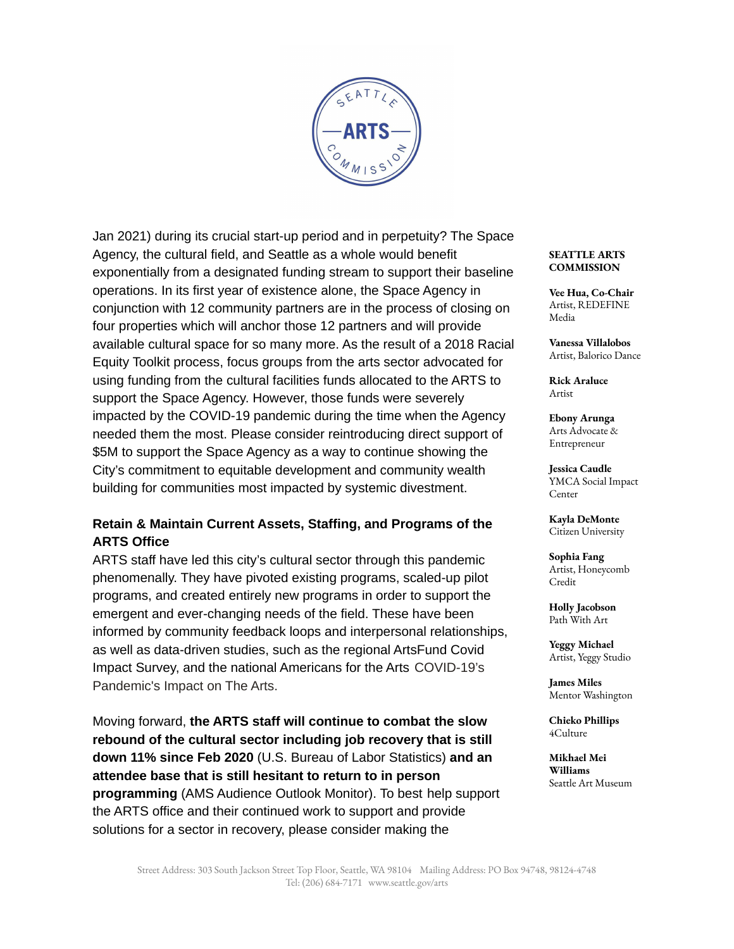

Jan 2021) during its crucial start-up period and in perpetuity? The Space Agency, the cultural field, and Seattle as a whole would benefit exponentially from a designated funding stream to support their baseline operations. In its first year of existence alone, the Space Agency in conjunction with 12 community partners are in the process of closing on four properties which will anchor those 12 partners and will provide available cultural space for so many more. As the result of a 2018 Racial Equity Toolkit process, focus groups from the arts sector advocated for using funding from the cultural facilities funds allocated to the ARTS to support the Space Agency. However, those funds were severely impacted by the COVID-19 pandemic during the time when the Agency needed them the most. Please consider reintroducing direct support of \$5M to support the Space Agency as a way to continue showing the City's commitment to equitable development and community wealth building for communities most impacted by systemic divestment.

# **Retain & Maintain Current Assets, Staffing, and Programs of the ARTS Office**

ARTS staff have led this city's cultural sector through this pandemic phenomenally. They have pivoted existing programs, scaled-up pilot programs, and created entirely new programs in order to support the emergent and ever-changing needs of the field. These have been informed by community feedback loops and interpersonal relationships, as well as data-driven studies, such as the regional ArtsFund Covid Impact Survey, and the national Americans for the Arts COVID-19's Pandemic's Impact on The Arts.

Moving forward, **the ARTS staff will continue to combat the slow rebound of the cultural sector including job recovery that is still down 11% since Feb 2020** (U.S. Bureau of Labor Statistics) **and an attendee base that is still hesitant to return to in person programming** (AMS Audience Outlook Monitor). To best help support the ARTS office and their continued work to support and provide solutions for a sector in recovery, please consider making the

### **SEATTLE ARTS COMMISSION**

**Vee Hua, Co-Chair** Artist, REDEFINE Media

**Vanessa Villalobos** Artist, Balorico Dance

**Rick Araluce** Artist

**Ebony Arunga** Arts Advocate & Entrepreneur

**Jessica Caudle** YMCA Social Impact **Center** 

**Kayla DeMonte** Citizen University

**Sophia Fang** Artist, Honeycomb Credit

**Holly Jacobson** Path With Art

**Yeggy Michael** Artist, Yeggy Studio

**James Miles** Mentor Washington

**Chieko Phillips** 4Culture

**Mikhael Mei Williams** Seattle Art Museum